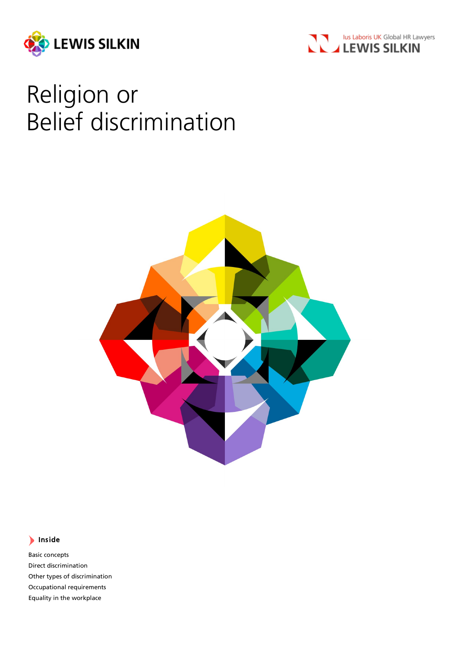



# Religion or Belief discrimination



# **Inside**

Basic concepts Direct discrimination Other types of discrimination Occupational requirements Equality in the workplace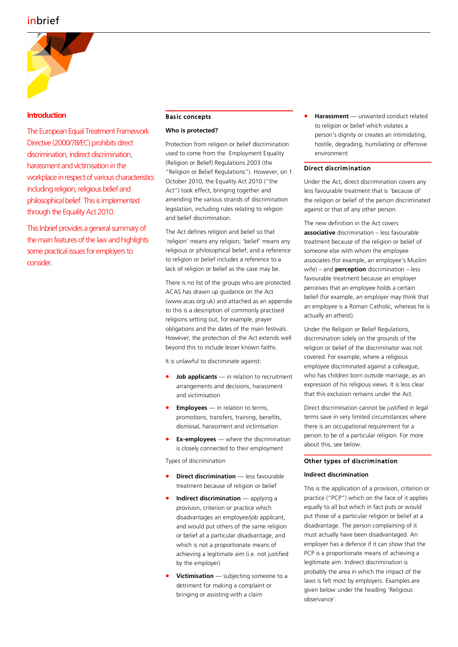

# **Introduction**

The European Equal Treatment Framework Directive (2000/78/EC) prohibits direct discrimination, indirect discrimination, harassment and victimisation in the workplace in respect of various characteristics including religion, religious belief and philosophical belief. This is implemented through the Equality Act 2010.

This Inbrief provides a general summary of the main features of the law and highlights some practical issues for employers to consider.

# Basic concepts

# **Who is protected?**

Protection from religion or belief discrimination used to come from the Employment Equality (Religion or Belief) Regulations 2003 (the "Religion or Belief Regulations"). However, on 1 October 2010, the Equality Act 2010 ("the Act") took effect, bringing together and amending the various strands of discrimination legislation, including rules relating to religion and belief discrimination.

The Act defines religion and belief so that 'religion' means any religion; 'belief' means any religious or philosophical belief; and a reference to religion or belief includes a reference to a lack of religion or belief as the case may be.

There is no list of the groups who are protected. ACAS has drawn up guidance on the Act (www.acas.org.uk) and attached as an appendix to this is a description of commonly practised religions setting out, for example, prayer obligations and the dates of the main festivals. However, the protection of the Act extends well beyond this to include lesser known faiths.

It is unlawful to discriminate against:

- **Job applicants** in relation to recruitment arrangements and decisions, harassment and victimisation
- **Employees** in relation to terms, promotions, transfers, training, benefits, dismissal, harassment and victimisation
- **Ex-employees**  where the discrimination is closely connected to their employment

Types of discrimination

- **Direct discrimination** less favourable treatment because of religion or belief
- **Indirect discrimination** applying a provision, criterion or practice which disadvantages an employee/job applicant, and would put others of the same religion or belief at a particular disadvantage, and which is not a proportionate means of achieving a legitimate aim (i.e. not justified by the employer)
- **Victimisation** subjecting someone to a detriment for making a complaint or bringing or assisting with a claim

• **Harassment** — unwanted conduct related to religion or belief which violates a person's dignity or creates an intimidating, hostile, degrading, humiliating or offensive environment

# Direct discrimination

Under the Act, direct discrimination covers any less favourable treatment that is 'because of' the religion or belief of the person discriminated against or that of any other person.

The new definition in the Act covers **associative** discrimination – less favourable treatment because of the religion or belief of someone else with whom the employee associates (for example, an employee's Muslim wife) – and **perception** discrimination – less favourable treatment because an employer perceives that an employee holds a certain belief (for example, an employer may think that an employee is a Roman Catholic, whereas he is actually an atheist).

Under the Religion or Belief Regulations, discrimination solely on the grounds of the religion or belief of the discriminator was not covered. For example, where a religious employee discriminated against a colleague, who has children born outside marriage, as an expression of his religious views. It is less clear that this exclusion remains under the Act.

Direct discrimination cannot be justified in legal terms save in very limited circumstances where there is an occupational requirement for a person to be of a particular religion. For more about this, see below.

# Other types of discrimination

#### **Indirect discrimination**

This is the application of a provision, criterion or practice ("PCP") which on the face of it applies equally to all but which in fact puts or would put those of a particular religion or belief at a disadvantage. The person complaining of it must actually have been disadvantaged. An employer has a defence if it can show that the PCP is a proportionate means of achieving a legitimate aim. Indirect discrimination is probably the area in which the impact of the laws is felt most by employers. Examples are given below under the heading 'Religious observance'.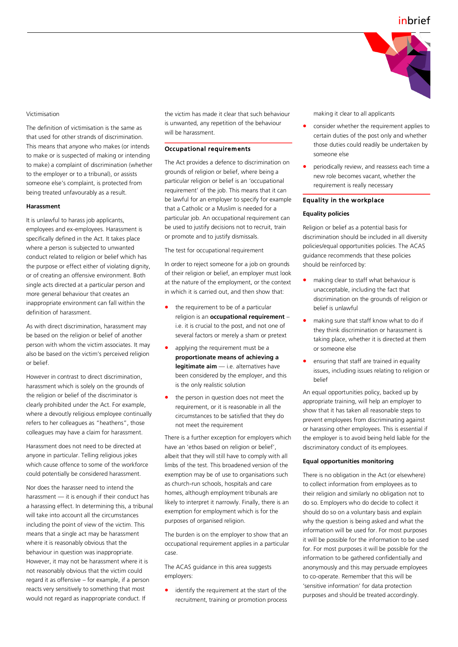

#### Victimisation

The definition of victimisation is the same as that used for other strands of discrimination. This means that anyone who makes (or intends to make or is suspected of making or intending to make) a complaint of discrimination (whether to the employer or to a tribunal), or assists someone else's complaint, is protected from being treated unfavourably as a result.

#### **Harassment**

It is unlawful to harass job applicants, employees and ex-employees. Harassment is specifically defined in the Act. It takes place where a person is subjected to unwanted conduct related to religion or belief which has the purpose or effect either of violating dignity, or of creating an offensive environment. Both single acts directed at a particular person and more general behaviour that creates an inappropriate environment can fall within the definition of harassment.

As with direct discrimination, harassment may be based on the religion or belief of another person with whom the victim associates. It may also be based on the victim's perceived religion or belief.

However in contrast to direct discrimination, harassment which is solely on the grounds of the religion or belief of the discriminator is clearly prohibited under the Act. For example, where a devoutly religious employee continually refers to her colleagues as "heathens", those colleagues may have a claim for harassment.

Harassment does not need to be directed at anyone in particular. Telling religious jokes which cause offence to some of the workforce could potentially be considered harassment.

Nor does the harasser need to intend the harassment — it is enough if their conduct has a harassing effect. In determining this, a tribunal will take into account all the circumstances including the point of view of the victim. This means that a single act may be harassment where it is reasonably obvious that the behaviour in question was inappropriate. However, it may not be harassment where it is not reasonably obvious that the victim could regard it as offensive – for example, if a person reacts very sensitively to something that most would not regard as inappropriate conduct. If

the victim has made it clear that such behaviour is unwanted, any repetition of the behaviour will be harassment.

## Occupational requirements

The Act provides a defence to discrimination on grounds of religion or belief, where being a particular religion or belief is an 'occupational requirement' of the job. This means that it can be lawful for an employer to specify for example that a Catholic or a Muslim is needed for a particular job. An occupational requirement can be used to justify decisions not to recruit, train or promote and to justify dismissals.

The test for occupational requirement

In order to reject someone for a job on grounds of their religion or belief, an employer must look at the nature of the employment, or the context in which it is carried out, and then show that:

- the requirement to be of a particular religion is an **occupational requirement** – i.e. it is crucial to the post, and not one of several factors or merely a sham or pretext
- applying the requirement must be a **proportionate means of achieving a legitimate aim** — i.e. alternatives have been considered by the employer, and this is the only realistic solution
- the person in question does not meet the requirement, or it is reasonable in all the circumstances to be satisfied that they do not meet the requirement

There is a further exception for employers which have an 'ethos based on religion or belief', albeit that they will still have to comply with all limbs of the test. This broadened version of the exemption may be of use to organisations such as church-run schools, hospitals and care homes, although employment tribunals are likely to interpret it narrowly. Finally, there is an exemption for employment which is for the purposes of organised religion.

The burden is on the employer to show that an occupational requirement applies in a particular case.

The ACAS guidance in this area suggests employers:

• identify the requirement at the start of the recruitment, training or promotion process making it clear to all applicants

- consider whether the requirement applies to certain duties of the post only and whether those duties could readily be undertaken by someone else
- periodically review, and reassess each time a new role becomes vacant, whether the requirement is really necessary

## Equality in the workplace

## **Equality policies**

Religion or belief as a potential basis for discrimination should be included in all diversity policies/equal opportunities policies. The ACAS guidance recommends that these policies should be reinforced by:

- making clear to staff what behaviour is unacceptable, including the fact that discrimination on the grounds of religion or belief is unlawful
- making sure that staff know what to do if they think discrimination or harassment is taking place, whether it is directed at them or someone else
- ensuring that staff are trained in equality issues, including issues relating to religion or belief

An equal opportunities policy, backed up by appropriate training, will help an employer to show that it has taken all reasonable steps to prevent employees from discriminating against or harassing other employees. This is essential if the employer is to avoid being held liable for the discriminatory conduct of its employees.

#### **Equal opportunities monitoring**

There is no obligation in the Act (or elsewhere) to collect information from employees as to their religion and similarly no obligation not to do so. Employers who do decide to collect it should do so on a voluntary basis and explain why the question is being asked and what the information will be used for. For most purposes it will be possible for the information to be used for. For most purposes it will be possible for the information to be gathered confidentially and anonymously and this may persuade employees to co-operate. Remember that this will be 'sensitive information' for data protection purposes and should be treated accordingly.